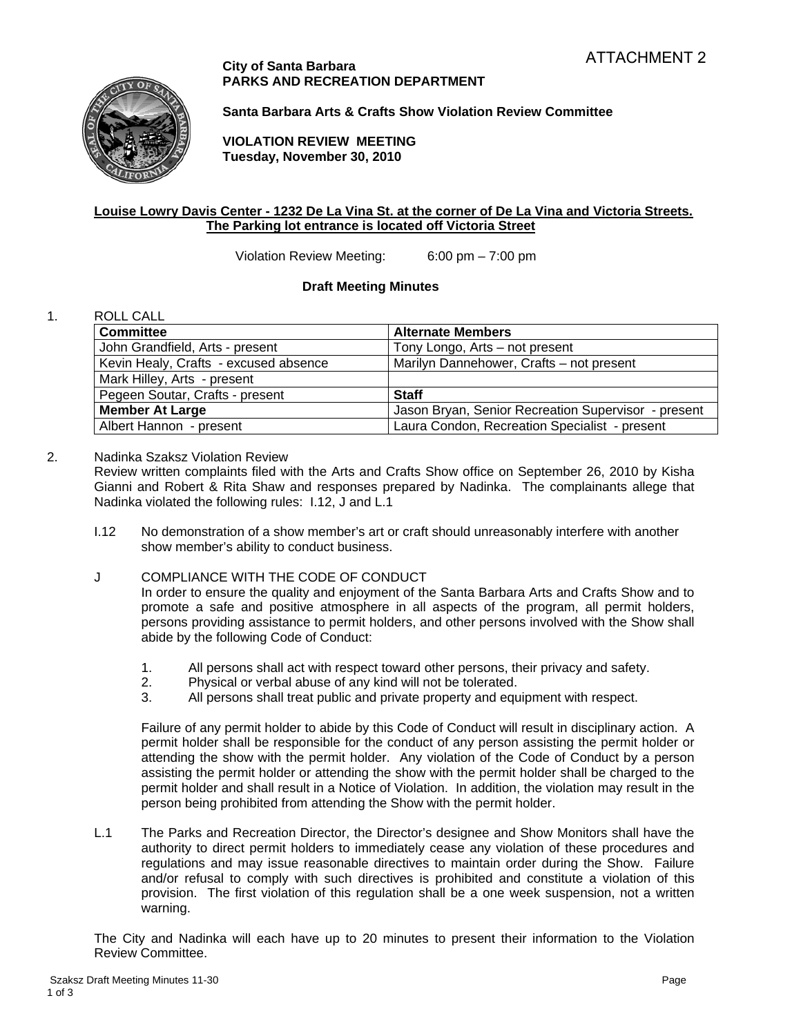### **City of Santa Barbara PARKS AND RECREATION DEPARTMENT**



**Santa Barbara Arts & Crafts Show Violation Review Committee** 

**VIOLATION REVIEW MEETING Tuesday, November 30, 2010** 

# **Louise Lowry Davis Center - 1232 De La Vina St. at the corner of De La Vina and Victoria Streets. The Parking lot entrance is located off Victoria Street**

Violation Review Meeting: 6:00 pm – 7:00 pm

# **Draft Meeting Minutes**

# 1. ROLL CALL

| <b>Committee</b>                      | <b>Alternate Members</b>                            |
|---------------------------------------|-----------------------------------------------------|
| John Grandfield, Arts - present       | Tony Longo, Arts - not present                      |
| Kevin Healy, Crafts - excused absence | Marilyn Dannehower, Crafts - not present            |
| Mark Hilley, Arts - present           |                                                     |
| Pegeen Soutar, Crafts - present       | <b>Staff</b>                                        |
| <b>Member At Large</b>                | Jason Bryan, Senior Recreation Supervisor - present |
| Albert Hannon - present               | Laura Condon, Recreation Specialist - present       |

# 2. Nadinka Szaksz Violation Review

Review written complaints filed with the Arts and Crafts Show office on September 26, 2010 by Kisha Gianni and Robert & Rita Shaw and responses prepared by Nadinka. The complainants allege that Nadinka violated the following rules: I.12, J and L.1

I.12 No demonstration of a show member's art or craft should unreasonably interfere with another show member's ability to conduct business.

# J COMPLIANCE WITH THE CODE OF CONDUCT

In order to ensure the quality and enjoyment of the Santa Barbara Arts and Crafts Show and to promote a safe and positive atmosphere in all aspects of the program, all permit holders, persons providing assistance to permit holders, and other persons involved with the Show shall abide by the following Code of Conduct:

- 1. All persons shall act with respect toward other persons, their privacy and safety.
- 2. Physical or verbal abuse of any kind will not be tolerated.
- 3. All persons shall treat public and private property and equipment with respect.

Failure of any permit holder to abide by this Code of Conduct will result in disciplinary action. A permit holder shall be responsible for the conduct of any person assisting the permit holder or attending the show with the permit holder. Any violation of the Code of Conduct by a person assisting the permit holder or attending the show with the permit holder shall be charged to the permit holder and shall result in a Notice of Violation. In addition, the violation may result in the person being prohibited from attending the Show with the permit holder.

L.1 The Parks and Recreation Director, the Director's designee and Show Monitors shall have the authority to direct permit holders to immediately cease any violation of these procedures and regulations and may issue reasonable directives to maintain order during the Show. Failure and/or refusal to comply with such directives is prohibited and constitute a violation of this provision. The first violation of this regulation shall be a one week suspension, not a written warning.

The City and Nadinka will each have up to 20 minutes to present their information to the Violation Review Committee.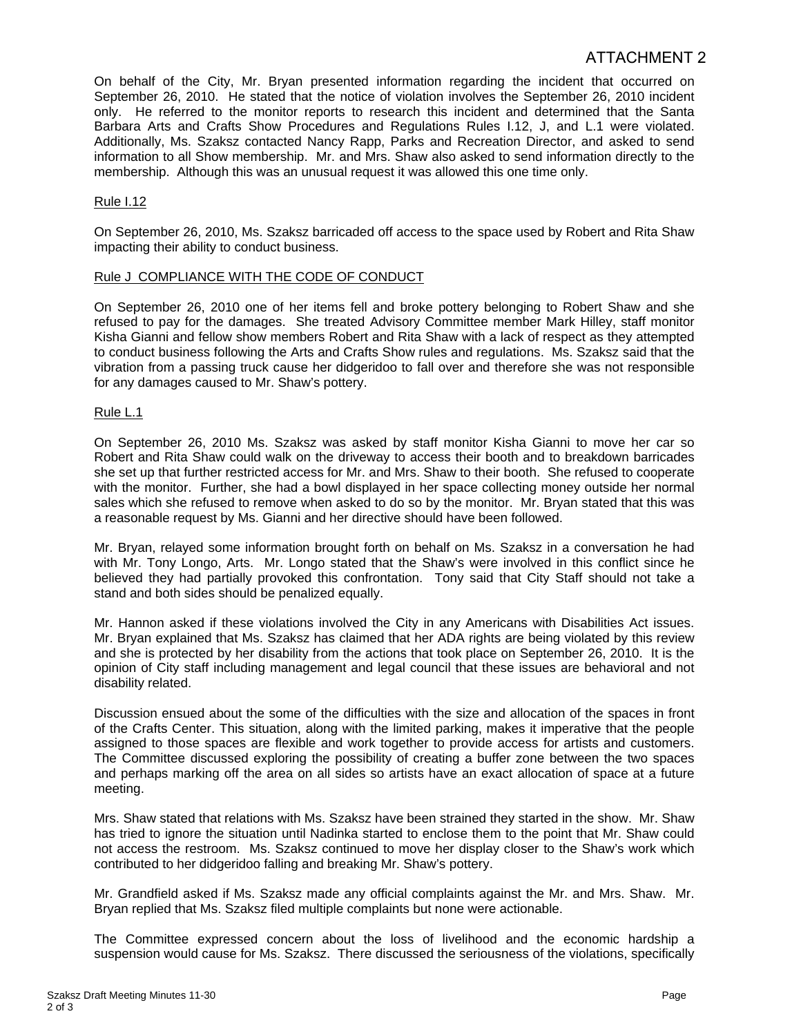# ATTACHMENT 2

On behalf of the City, Mr. Bryan presented information regarding the incident that occurred on September 26, 2010. He stated that the notice of violation involves the September 26, 2010 incident only. He referred to the monitor reports to research this incident and determined that the Santa Barbara Arts and Crafts Show Procedures and Regulations Rules I.12, J, and L.1 were violated. Additionally, Ms. Szaksz contacted Nancy Rapp, Parks and Recreation Director, and asked to send information to all Show membership. Mr. and Mrs. Shaw also asked to send information directly to the membership. Although this was an unusual request it was allowed this one time only.

### Rule I.12

On September 26, 2010, Ms. Szaksz barricaded off access to the space used by Robert and Rita Shaw impacting their ability to conduct business.

#### Rule J COMPLIANCE WITH THE CODE OF CONDUCT

On September 26, 2010 one of her items fell and broke pottery belonging to Robert Shaw and she refused to pay for the damages. She treated Advisory Committee member Mark Hilley, staff monitor Kisha Gianni and fellow show members Robert and Rita Shaw with a lack of respect as they attempted to conduct business following the Arts and Crafts Show rules and regulations. Ms. Szaksz said that the vibration from a passing truck cause her didgeridoo to fall over and therefore she was not responsible for any damages caused to Mr. Shaw's pottery.

#### Rule L.1

On September 26, 2010 Ms. Szaksz was asked by staff monitor Kisha Gianni to move her car so Robert and Rita Shaw could walk on the driveway to access their booth and to breakdown barricades she set up that further restricted access for Mr. and Mrs. Shaw to their booth. She refused to cooperate with the monitor. Further, she had a bowl displayed in her space collecting money outside her normal sales which she refused to remove when asked to do so by the monitor. Mr. Bryan stated that this was a reasonable request by Ms. Gianni and her directive should have been followed.

Mr. Bryan, relayed some information brought forth on behalf on Ms. Szaksz in a conversation he had with Mr. Tony Longo, Arts. Mr. Longo stated that the Shaw's were involved in this conflict since he believed they had partially provoked this confrontation. Tony said that City Staff should not take a stand and both sides should be penalized equally.

Mr. Hannon asked if these violations involved the City in any Americans with Disabilities Act issues. Mr. Bryan explained that Ms. Szaksz has claimed that her ADA rights are being violated by this review and she is protected by her disability from the actions that took place on September 26, 2010. It is the opinion of City staff including management and legal council that these issues are behavioral and not disability related.

Discussion ensued about the some of the difficulties with the size and allocation of the spaces in front of the Crafts Center. This situation, along with the limited parking, makes it imperative that the people assigned to those spaces are flexible and work together to provide access for artists and customers. The Committee discussed exploring the possibility of creating a buffer zone between the two spaces and perhaps marking off the area on all sides so artists have an exact allocation of space at a future meeting.

Mrs. Shaw stated that relations with Ms. Szaksz have been strained they started in the show. Mr. Shaw has tried to ignore the situation until Nadinka started to enclose them to the point that Mr. Shaw could not access the restroom. Ms. Szaksz continued to move her display closer to the Shaw's work which contributed to her didgeridoo falling and breaking Mr. Shaw's pottery.

Mr. Grandfield asked if Ms. Szaksz made any official complaints against the Mr. and Mrs. Shaw. Mr. Bryan replied that Ms. Szaksz filed multiple complaints but none were actionable.

The Committee expressed concern about the loss of livelihood and the economic hardship a suspension would cause for Ms. Szaksz. There discussed the seriousness of the violations, specifically